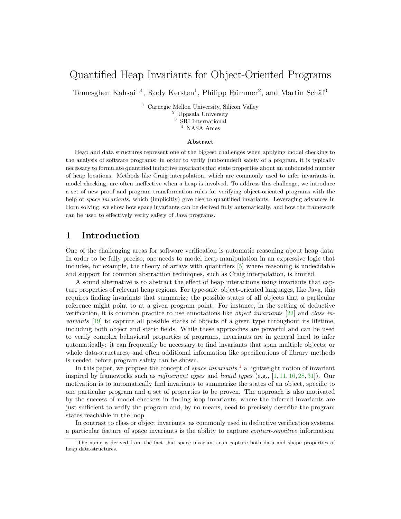# Quantified Heap Invariants for Object-Oriented Programs

Temesghen Kahsai<sup>1,4</sup>, Rody Kersten<sup>1</sup>, Philipp Rümmer<sup>2</sup>, and Martin Schäf<sup>3</sup>

<sup>1</sup> Carnegie Mellon University, Silicon Valley <sup>2</sup> Uppsala University <sup>3</sup> SRI International NASA Ames

#### Abstract

Heap and data structures represent one of the biggest challenges when applying model checking to the analysis of software programs: in order to verify (unbounded) safety of a program, it is typically necessary to formulate quantified inductive invariants that state properties about an unbounded number of heap locations. Methods like Craig interpolation, which are commonly used to infer invariants in model checking, are often ineffective when a heap is involved. To address this challenge, we introduce a set of new proof and program transformation rules for verifying object-oriented programs with the help of space invariants, which (implicitly) give rise to quantified invariants. Leveraging advances in Horn solving, we show how space invariants can be derived fully automatically, and how the framework can be used to effectively verify safety of Java programs.

## 1 Introduction

One of the challenging areas for software verification is automatic reasoning about heap data. In order to be fully precise, one needs to model heap manipulation in an expressive logic that includes, for example, the theory of arrays with quantifiers [\[5\]](#page-15-0) where reasoning is undecidable and support for common abstraction techniques, such as Craig interpolation, is limited.

A sound alternative is to abstract the effect of heap interactions using invariants that capture properties of relevant heap regions. For type-safe, object-oriented languages, like Java, this requires finding invariants that summarize the possible states of all objects that a particular reference might point to at a given program point. For instance, in the setting of deductive verification, it is common practice to use annotations like object invariants [\[22\]](#page-16-0) and class invariants [\[19\]](#page-15-1) to capture all possible states of objects of a given type throughout its lifetime, including both object and static fields. While these approaches are powerful and can be used to verify complex behavioral properties of programs, invariants are in general hard to infer automatically: it can frequently be necessary to find invariants that span multiple objects, or whole data-structures, and often additional information like specifications of library methods is needed before program safety can be shown.

In this paper, we propose the concept of *space invariants*,<sup>[1](#page-0-0)</sup> a lightweight notion of invariant inspired by frameworks such as *refinement types* and *liquid types* (e.g.,  $[1, 11, 16, 28, 31]$  $[1, 11, 16, 28, 31]$  $[1, 11, 16, 28, 31]$  $[1, 11, 16, 28, 31]$  $[1, 11, 16, 28, 31]$  $[1, 11, 16, 28, 31]$  $[1, 11, 16, 28, 31]$  $[1, 11, 16, 28, 31]$  $[1, 11, 16, 28, 31]$ ). Our motivation is to automatically find invariants to summarize the states of an object, specific to one particular program and a set of properties to be proven. The approach is also motivated by the success of model checkers in finding loop invariants, where the inferred invariants are just sufficient to verify the program and, by no means, need to precisely describe the program states reachable in the loop.

In contrast to class or object invariants, as commonly used in deductive verification systems, a particular feature of space invariants is the ability to capture context-sensitive information:

<span id="page-0-0"></span><sup>&</sup>lt;sup>1</sup>The name is derived from the fact that space invariants can capture both data and shape properties of heap data-structures.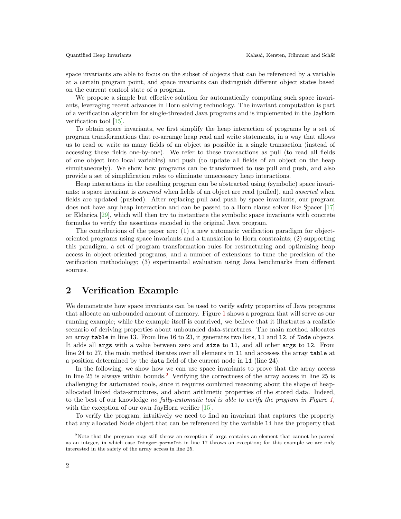space invariants are able to focus on the subset of objects that can be referenced by a variable at a certain program point, and space invariants can distinguish different object states based on the current control state of a program.

We propose a simple but effective solution for automatically computing such space invariants, leveraging recent advances in Horn solving technology. The invariant computation is part of a verification algorithm for single-threaded Java programs and is implemented in the JayHorn verification tool [\[15\]](#page-15-4).

To obtain space invariants, we first simplify the heap interaction of programs by a set of program transformations that re-arrange heap read and write statements, in a way that allows us to read or write as many fields of an object as possible in a single transaction (instead of accessing these fields one-by-one). We refer to these transactions as pull (to read all fields of one object into local variables) and push (to update all fields of an object on the heap simultaneously). We show how programs can be transformed to use pull and push, and also provide a set of simplification rules to eliminate unnecessary heap interactions.

Heap interactions in the resulting program can be abstracted using (symbolic) space invariants: a space invariant is *assumed* when fields of an object are read (pulled), and *asserted* when fields are updated (pushed). After replacing pull and push by space invariants, our program does not have any heap interaction and can be passed to a Horn clause solver like Spacer [\[17\]](#page-15-5) or Eldarica [\[29\]](#page-16-3), which will then try to instantiate the symbolic space invariants with concrete formulas to verify the assertions encoded in the original Java program.

The contributions of the paper are: (1) a new automatic verification paradigm for objectoriented programs using space invariants and a translation to Horn constraints; (2) supporting this paradigm, a set of program transformation rules for restructuring and optimizing heap access in object-oriented programs, and a number of extensions to tune the precision of the verification methodology; (3) experimental evaluation using Java benchmarks from different sources.

## <span id="page-1-1"></span>2 Verification Example

We demonstrate how space invariants can be used to verify safety properties of Java programs that allocate an unbounded amount of memory. Figure [1](#page-2-0) shows a program that will serve as our running example; while the example itself is contrived, we believe that it illustrates a realistic scenario of deriving properties about unbounded data-structures. The main method allocates an array table in line 13. From line 16 to 23, it generates two lists, l1 and l2, of Node objects. It adds all args with a value between zero and size to l1, and all other args to l2. From line 24 to 27, the main method iterates over all elements in l1 and accesses the array table at a position determined by the data field of the current node in l1 (line 24).

In the following, we show how we can use space invariants to prove that the array access in line 25 is always within bounds.[2](#page-1-0) Verifying the correctness of the array access in line 25 is challenging for automated tools, since it requires combined reasoning about the shape of heapallocated linked data-structures, and about arithmetic properties of the stored data. Indeed, to the best of our knowledge no fully-automatic tool is able to verify the program in Figure [1,](#page-2-0) with the exception of our own JayHorn verifier [\[15\]](#page-15-4).

To verify the program, intuitively we need to find an invariant that captures the property that any allocated Node object that can be referenced by the variable l1 has the property that

<span id="page-1-0"></span><sup>2</sup>Note that the program may still throw an exception if args contains an element that cannot be parsed as an integer, in which case Integer.parseInt in line 17 throws an exception; for this example we are only interested in the safety of the array access in line 25.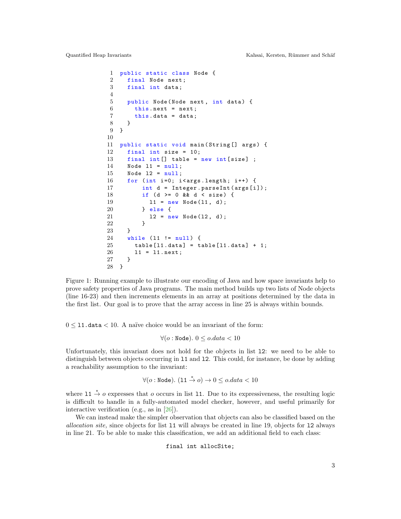<span id="page-2-0"></span>

```
1 public static class Node {
2 final Node next;
3 final int data;
4
5 public Node (Node next, int data) {
6 this next = next;
7 this . data = data;
8 }
9 }
10
11 public static void main ( String [] args ) {
12 final int size = 10;
13 final int [] table = new int [size] ;
14 Node 11 = null;15 Node l2 = null ;
16 for (int i=0; i<args.length; i++) {
17 int d = Integer.parseInt (args [i]);
18 if (d > = 0 \& d \& d \& size) {
19 11 = new Node (11, d);
20 } else {
21 12 = new Node(12, d);22 }
23 }
24 while (11 != null) {
25 table [11. data] = table [11. data] + 1;
26 l1 = l1 . next ;
27 }
28 }
```
Figure 1: Running example to illustrate our encoding of Java and how space invariants help to prove safety properties of Java programs. The main method builds up two lists of Node objects (line 16-23) and then increments elements in an array at positions determined by the data in the first list. Our goal is to prove that the array access in line 25 is always within bounds.

 $0 \leq 11$ . data  $\leq 10$ . A naïve choice would be an invariant of the form:

$$
\forall (o: \text{Node}). \ 0 \le o.data < 10
$$

Unfortunately, this invariant does not hold for the objects in list l2: we need to be able to distinguish between objects occurring in l1 and l2. This could, for instance, be done by adding a reachability assumption to the invariant:

$$
\forall (o: \text{Node}). (11 \stackrel{*}{\rightarrow} o) \rightarrow 0 \le o.data < 10
$$

where 11  $\stackrel{*}{\rightarrow} o$  expresses that o occurs in list 11. Due to its expressiveness, the resulting logic is difficult to handle in a fully-automated model checker, however, and useful primarily for interactive verification (e.g., as in [\[26\]](#page-16-4)).

We can instead make the simpler observation that objects can also be classified based on the allocation site, since objects for list l1 will always be created in line 19, objects for l2 always in line 21. To be able to make this classification, we add an additional field to each class:

final int allocSite;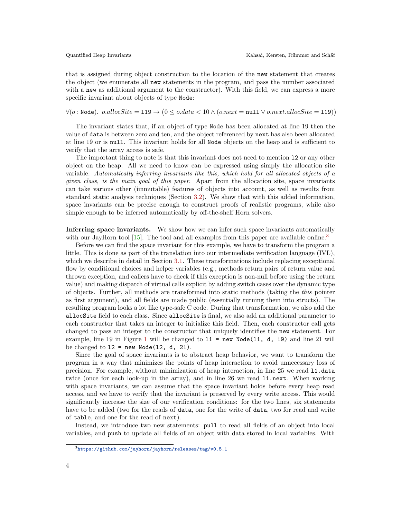that is assigned during object construction to the location of the new statement that creates the object (we enumerate all new statements in the program, and pass the number associated with a new as additional argument to the constructor). With this field, we can express a more specific invariant about objects of type Node:

 $\forall (o: \texttt{Node})\dots o.allocSite = \texttt{119} \rightarrow (0 \le o.data < 10 \land (o.next = \texttt{null} \lor o.next.allocSite = \texttt{119}))$ 

The invariant states that, if an object of type Node has been allocated at line 19 then the value of data is between zero and ten, and the object referenced by next has also been allocated at line 19 or is null. This invariant holds for all Node objects on the heap and is sufficient to verify that the array access is safe.

The important thing to note is that this invariant does not need to mention l2 or any other object on the heap. All we need to know can be expressed using simply the allocation site variable. Automatically inferring invariants like this, which hold for all allocated objects of a given class, is the main goal of this paper. Apart from the allocation site, space invariants can take various other (immutable) features of objects into account, as well as results from standard static analysis techniques (Section [3.2\)](#page-7-0). We show that with this added information, space invariants can be precise enough to construct proofs of realistic programs, while also simple enough to be inferred automatically by off-the-shelf Horn solvers.

Inferring space invariants. We show how we can infer such space invariants automatically with our JayHorn tool  $[15]$ . The tool and all examples from this paper are available online.<sup>[3](#page-3-0)</sup>

Before we can find the space invariant for this example, we have to transform the program a little. This is done as part of the translation into our intermediate verification language (IVL), which we describe in detail in Section [3.1.](#page-6-0) These transformations include replacing exceptional flow by conditional choices and helper variables (e.g., methods return pairs of return value and thrown exception, and callers have to check if this exception is non-null before using the return value) and making dispatch of virtual calls explicit by adding switch cases over the dynamic type of objects. Further, all methods are transformed into static methods (taking the this pointer as first argument), and all fields are made public (essentially turning them into structs). The resulting program looks a lot like type-safe C code. During that transformation, we also add the allocSite field to each class. Since allocSite is final, we also add an additional parameter to each constructor that takes an integer to initialize this field. Then, each constructor call gets changed to pass an integer to the constructor that uniquely identifies the new statement. For example, line [1](#page-2-0)9 in Figure 1 will be changed to  $11 = new Node(11, d, 19)$  and line 21 will be changed to  $12 = new Node(12, d, 21)$ .

Since the goal of space invariants is to abstract heap behavior, we want to transform the program in a way that minimizes the points of heap interaction to avoid unnecessary loss of precision. For example, without minimization of heap interaction, in line 25 we read l1.data twice (once for each look-up in the array), and in line 26 we read l1.next. When working with space invariants, we can assume that the space invariant holds before every heap read access, and we have to verify that the invariant is preserved by every write access. This would significantly increase the size of our verification conditions: for the two lines, six statements have to be added (two for the reads of data, one for the write of data, two for read and write of table, and one for the read of next).

Instead, we introduce two new statements: pull to read all fields of an object into local variables, and push to update all fields of an object with data stored in local variables. With

<span id="page-3-0"></span><sup>3</sup><https://github.com/jayhorn/jayhorn/releases/tag/v0.5.1>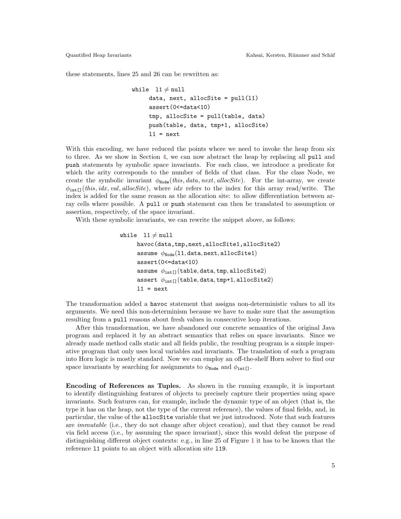these statements, lines 25 and 26 can be rewritten as:

```
while 11 \neq \text{null}data, next, allocSite = pull(11)assert(0<=data<10)
     tmp, allocSite = pull(table, data)
     push(table, data, tmp+1, allocSite)
     11 = next
```
With this encoding, we have reduced the points where we need to invoke the heap from six to three. As we show in Section [4,](#page-9-0) we can now abstract the heap by replacing all pull and push statements by symbolic space invariants. For each class, we introduce a predicate for which the arity corresponds to the number of fields of that class. For the class Node, we create the symbolic invariant  $\phi_{\text{Node}}(this, data, next, allocate)$ . For the int-array, we create  $\phi_{\text{int}}(this, idx, val, allocSite)$ , where  $idx$  refers to the index for this array read/write. The index is added for the same reason as the allocation site: to allow differentiation between array cells where possible. A pull or push statement can then be translated to assumption or assertion, respectively, of the space invariant.

With these symbolic invariants, we can rewrite the snippet above, as follows:

```
while 11 \neq \text{null}havoc(data,tmp,next,allocSite1,allocSite2)
       assume \phi_{\text{Node}}(11, \text{data}, \text{next}, \text{allocSite1})assert(0<=data<10)
       assume \phi_{\text{int}1}(table, data, tmp, allocSite2)
       assert \phi_{int[]}(table, data, tmp+1, allocSite2)
       11 = next
```
The transformation added a havoc statement that assigns non-deterministic values to all its arguments. We need this non-determinism because we have to make sure that the assumption resulting from a pull reasons about fresh values in consecutive loop iterations.

After this transformation, we have abandoned our concrete semantics of the original Java program and replaced it by an abstract semantics that relies on space invariants. Since we already made method calls static and all fields public, the resulting program is a simple imperative program that only uses local variables and invariants. The translation of such a program into Horn logic is mostly standard. Now we can employ an off-the-shelf Horn solver to find our space invariants by searching for assignments to  $\phi_{\text{Node}}$  and  $\phi_{\text{int}[}$ .

Encoding of References as Tuples. As shown in the running example, it is important to identify distinguishing features of objects to precisely capture their properties using space invariants. Such features can, for example, include the dynamic type of an object (that is, the type it has on the heap, not the type of the current reference), the values of final fields, and, in particular, the value of the allocSite variable that we just introduced. Note that such features are immutable (i.e., they do not change after object creation), and that they cannot be read via field access (i.e., by assuming the space invariant), since this would defeat the purpose of distinguishing different object contexts: e.g., in line 25 of Figure [1](#page-2-0) it has to be known that the reference l1 points to an object with allocation site l19.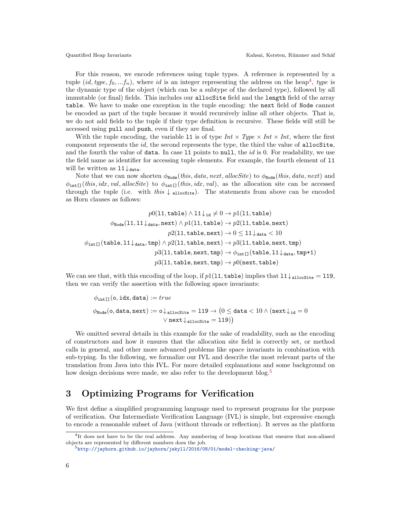For this reason, we encode references using tuple types. A reference is represented by a tuple  $(id, type, f_0, ... f_n)$ , where id is an integer representing the address on the heap<sup>[4](#page-5-0)</sup>, type is the dynamic type of the object (which can be a subtype of the declared type), followed by all immutable (or final) fields. This includes our allocSite field and the length field of the array table. We have to make one exception in the tuple encoding: the next field of Node cannot be encoded as part of the tuple because it would recursively inline all other objects. That is, we do not add fields to the tuple if their type definition is recursive. These fields will still be accessed using pull and push, even if they are final.

With the tuple encoding, the variable 11 is of type  $Int \times Type \times Int \times Int$ , where the first component represents the  $id$ , the second represents the type, the third the value of allocSite, and the fourth the value of data. In case 11 points to null, the  $id$  is 0. For readability, we use the field name as identifier for accessing tuple elements. For example, the fourth element of l1 will be written as  $11\downarrow$  data.

Note that we can now shorten  $\phi_{\text{Node}}(this, data, next, allocate)$  to  $\phi_{\text{Node}}(this, data, next)$  and  $\phi_{\text{int}\Box}$ (this, idx, val, allocSite) to  $\phi_{\text{int}\Box}$ (this, idx, val), as the allocation site can be accessed through the tuple (i.e. with this  $\downarrow$  allocsite). The statements from above can be encoded as Horn clauses as follows:

$$
p0(11,\texttt{table}) \wedge 11 \downarrow_{\texttt{id}} \neq 0 \rightarrow p1(11,\texttt{table})\\ \phi_\texttt{Node}(11,11 \downarrow_\texttt{data},\texttt{next}) \wedge p1(11,\texttt{table}) \rightarrow p2(11,\texttt{table},\texttt{next})\\ p2(11,\texttt{table},\texttt{next}) \rightarrow 0 \leq 11 \downarrow_\texttt{data} < 10\\ \phi_\texttt{int[1}(\texttt{table},11 \downarrow_\texttt{data},\texttt{tmp}) \wedge p2(11,\texttt{table},\texttt{next}) \rightarrow p3(11,\texttt{table},\texttt{next},\texttt{tmp})\\ p3(11,\texttt{table},\texttt{next},\texttt{tmp}) \rightarrow \phi_\texttt{int[1}(\texttt{table},11 \downarrow_\texttt{data},\texttt{tmp+1})\\ p3(11,\texttt{table},\texttt{next},\texttt{tmp}) \rightarrow p0(\texttt{next},\texttt{table})
$$

We can see that, with this encoding of the loop, if  $p1(11, \text{table})$  implies that  $11\downarrow$  allocsite = 119, then we can verify the assertion with the following space invariants:

$$
\begin{aligned} \phi_{\text{int} \square}(\text{o}, \text{idx}, \text{data}) := true \\ \phi_{\text{Node}}(\text{o}, \text{data}, \text{next}) := \text{o} \downarrow_{\text{alloc} \text{site}} = 119 \rightarrow \big(0 \leq \text{data} < 10 \land (\text{next} \downarrow_{\text{id}} = 0 \\ & \lor \text{next} \downarrow_{\text{alloc} \text{site}} = 119) \big) \end{aligned}
$$

We omitted several details in this example for the sake of readability, such as the encoding of constructors and how it ensures that the allocation site field is correctly set, or method calls in general, and other more advanced problems like space invariants in combination with sub-typing. In the following, we formalize our IVL and describe the most relevant parts of the translation from Java into this IVL. For more detailed explanations and some background on how design decisions were made, we also refer to the development blog.<sup>[5](#page-5-1)</sup>

## 3 Optimizing Programs for Verification

We first define a simplified programming language used to represent programs for the purpose of verification. Our Intermediate Verification Language (IVL) is simple, but expressive enough to encode a reasonable subset of Java (without threads or reflection). It serves as the platform

<span id="page-5-0"></span><sup>&</sup>lt;sup>4</sup>It does not have to be the real address. Any numbering of heap locations that ensures that non-aliased objects are represented by different numbers does the job.

<span id="page-5-1"></span><sup>5</sup><http://jayhorn.github.io/jayhorn/jekyll/2016/08/01/model-checking-java/>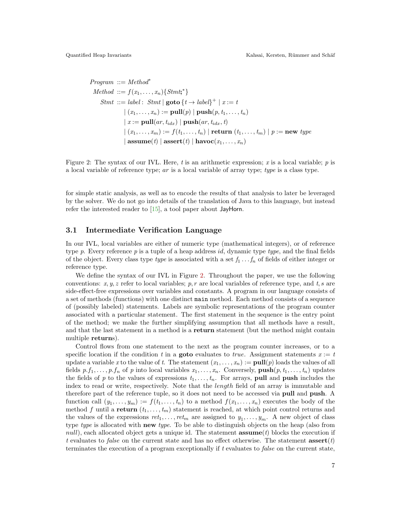<span id="page-6-1"></span>Program ::= Method\*

\nMethod ::= 
$$
f(x_1, \ldots, x_n) \{ \text{Strnt};^* \}
$$

\nStart ::= label :  $S \text{trnt} \mid \text{goto} \{ t \rightarrow label \}^+ \mid x := t$ 

\n $| (x_1, \ldots, x_n) := \text{pull}(p) \mid \text{push}(p, t_1, \ldots, t_n)$ 

\n $| x := \text{pull}(ar, t_{idx}) \mid \text{push}(ar, t_{idx}, t)$ 

\n $| (x_1, \ldots, x_m) := f(t_1, \ldots, t_n) \mid \text{return } (t_1, \ldots, t_m) \mid p := \text{new type}$ 

\n $| \text{assume}(t) \mid \text{assert}(t) \mid \text{havec}(x_1, \ldots, x_n)$ 

Figure 2: The syntax of our IVL. Here, t is an arithmetic expression; x is a local variable;  $p$  is a local variable of reference type; ar is a local variable of array type; type is a class type.

for simple static analysis, as well as to encode the results of that analysis to later be leveraged by the solver. We do not go into details of the translation of Java to this language, but instead refer the interested reader to [\[15\]](#page-15-4), a tool paper about JayHorn.

#### <span id="page-6-0"></span>3.1 Intermediate Verification Language

In our IVL, local variables are either of numeric type (mathematical integers), or of reference type p. Every reference p is a tuple of a heap address id, dynamic type type, and the final fields of the object. Every class type *type* is associated with a set  $f_1 \tldots f_n$  of fields of either integer or reference type.

We define the syntax of our IVL in Figure [2.](#page-6-1) Throughout the paper, we use the following conventions: x, y, z refer to local variables; p, r are local variables of reference type, and t, s are side-effect-free expressions over variables and constants. A program in our language consists of a set of methods (functions) with one distinct main method. Each method consists of a sequence of (possibly labeled) statements. Labels are symbolic representations of the program counter associated with a particular statement. The first statement in the sequence is the entry point of the method; we make the further simplifying assumption that all methods have a result, and that the last statement in a method is a return statement (but the method might contain multiple returns).

Control flows from one statement to the next as the program counter increases, or to a specific location if the condition t in a **goto** evaluates to true. Assignment statements  $x := t$ update a variable x to the value of t. The statement  $(x_1, \ldots, x_n) := \text{pull}(p)$  loads the values of all fields  $p.f_1, \ldots, p.f_n$  of p into local variables  $x_1, \ldots, x_n$ . Conversely,  $\text{push}(p, t_1, \ldots, t_n)$  updates the fields of p to the values of expressions  $t_1, \ldots, t_n$ . For arrays, pull and push includes the index to read or write, respectively. Note that the *length* field of an array is immutable and therefore part of the reference tuple, so it does not need to be accessed via pull and push. A function call  $(y_1, \ldots, y_m) := f(t_1, \ldots, t_n)$  to a method  $f(x_1, \ldots, x_n)$  executes the body of the method f until a return  $(t_1, \ldots, t_m)$  statement is reached, at which point control returns and the values of the expressions  $ret_1, \ldots, ret_m$  are assigned to  $y_1, \ldots, y_m$ . A new object of class type type is allocated with new type. To be able to distinguish objects on the heap (also from null), each allocated object gets a unique id. The statement  $\operatorname{assume}(t)$  blocks the execution if t evaluates to false on the current state and has no effect otherwise. The statement  $\operatorname{assert}(t)$ terminates the execution of a program exceptionally if t evaluates to false on the current state,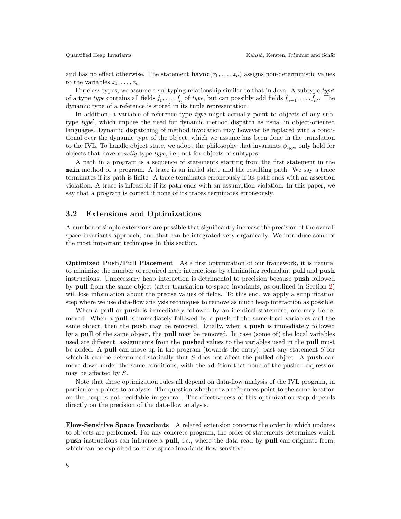and has no effect otherwise. The statement  $\mathbf{havoc}(x_1, \ldots, x_n)$  assigns non-deterministic values to the variables  $x_1, \ldots, x_n$ .

For class types, we assume a subtyping relationship similar to that in Java. A subtype  $type'$ of a type type contains all fields  $f_1, \ldots, f_n$  of type, but can possibly add fields  $f_{n+1}, \ldots, f_{n'}$ . The dynamic type of a reference is stored in its tuple representation.

In addition, a variable of reference type *type* might actually point to objects of any subtype type', which implies the need for dynamic method dispatch as usual in object-oriented languages. Dynamic dispatching of method invocation may however be replaced with a conditional over the dynamic type of the object, which we assume has been done in the translation to the IVL. To handle object state, we adopt the philosophy that invariants  $\phi_{\text{true}}$  only hold for objects that have exactly type type, i.e., not for objects of subtypes.

A path in a program is a sequence of statements starting from the first statement in the main method of a program. A trace is an initial state and the resulting path. We say a trace terminates if its path is finite. A trace terminates erroneously if its path ends with an assertion violation. A trace is infeasible if its path ends with an assumption violation. In this paper, we say that a program is correct if none of its traces terminates erroneously.

#### <span id="page-7-0"></span>3.2 Extensions and Optimizations

A number of simple extensions are possible that significantly increase the precision of the overall space invariants approach, and that can be integrated very organically. We introduce some of the most important techniques in this section.

Optimized Push/Pull Placement As a first optimization of our framework, it is natural to minimize the number of required heap interactions by eliminating redundant pull and push instructions. Unnecessary heap interaction is detrimental to precision because push followed by pull from the same object (after translation to space invariants, as outlined in Section [2\)](#page-1-1) will lose information about the precise values of fields. To this end, we apply a simplification step where we use data-flow analysis techniques to remove as much heap interaction as possible.

When a **pull** or **push** is immediately followed by an identical statement, one may be removed. When a **pull** is immediately followed by a **push** of the same local variables and the same object, then the **push** may be removed. Dually, when a **push** is immediately followed by a pull of the same object, the pull may be removed. In case (some of) the local variables used are different, assignments from the **pushed** values to the variables used in the **pull** must be added. A pull can move up in the program (towards the entry), past any statement  $S$  for which it can be determined statically that  $S$  does not affect the **pulled** object. A **push** can move down under the same conditions, with the addition that none of the pushed expression may be affected by S.

Note that these optimization rules all depend on data-flow analysis of the IVL program, in particular a points-to analysis. The question whether two references point to the same location on the heap is not decidable in general. The effectiveness of this optimization step depends directly on the precision of the data-flow analysis.

Flow-Sensitive Space Invariants A related extension concerns the order in which updates to objects are performed. For any concrete program, the order of statements determines which push instructions can influence a pull, i.e., where the data read by pull can originate from, which can be exploited to make space invariants flow-sensitive.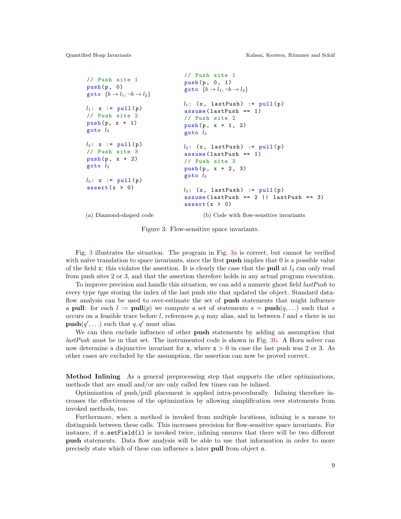```
// Push site 1
push(p, 0)goto \{b \rightarrow l_1, \neg b \rightarrow l_2\}l_1: x := \text{pull}(p)// Push site 2
push(p, x + 1)goto l_3l_2: x := \text{pull}(p)// Push site 3
push(p, x + 2)goto l_3l_3: x := \text{pull}(p)assert(x > 0)// Push site 1
                                 push (p, 0, 1)
                                 goto \{b \rightarrow l_1, \neg b \rightarrow l_2\}l_1: (x, lastPush) := pull(p)assume ( lastPush == 1)
                                 // Push site 2
                                 push(p, x + 1, 2)goto l_3l_2: (x, lastPush) := pull(p)assume ( lastPush == 1)
                                 // Push site 3
                                 push(p, x + 2, 3)goto l_3l_3: (x, lastPush) := pull(p)assume (lastPush == 2 || lastPush == 3)assert(x > 0)(b) Code with flow-sensitive invariants
```
(a) Diamond-shaped code

Figure 3: Flow-sensitive space invariants.

Fig. [3](#page-8-0) illustrates the situation. The program in Fig. [3a](#page-8-0) is correct, but cannot be verified with naïve translation to space invariants, since the first **push** implies that  $\theta$  is a possible value of the field x; this violates the assertion. It is clearly the case that the **pull** at  $l_3$  can only read from push sites 2 or 3, and that the assertion therefore holds in any actual program execution.

To improve precision and handle this situation, we can add a numeric ghost field *lastPush* to every type type storing the index of the last push site that updated the object. Standard dataflow analysis can be used to over-estimate the set of **push** statements that might influence a pull: for each  $l := \text{pull}(p)$  we compute a set of statements  $s = \text{push}(q, \ldots)$  such that s occurs on a feasible trace before l, references  $p, q$  may alias, and in between l and s there is no  $\text{push}(q', \ldots)$  such that  $q, q'$  must alias.

We can then exclude influence of other **push** statements by adding an assumption that lastPush must be in that set. The instrumented code is shown in Fig. [3b.](#page-8-0) A Horn solver can now determine a disjunctive invariant for x, where  $x > 0$  in case the last push was 2 or 3. As other cases are excluded by the assumption, the assertion can now be proved correct.

Method Inlining As a general preprocessing step that supports the other optimizations, methods that are small and/or are only called few times can be inlined.

Optimization of push/pull placement is applied intra-procedurally. Inlining therefore increases the effectiveness of the optimization by allowing simplification over statements from invoked methods, too.

Furthermore, when a method is invoked from multiple locations, inlining is a means to distinguish between these calls. This increases precision for flow-sensitive space invariants. For instance, if o.setField(i) is invoked twice, inlining ensures that there will be two different push statements. Data flow analysis will be able to use that information in order to more precisely state which of these can influence a later pull from object o.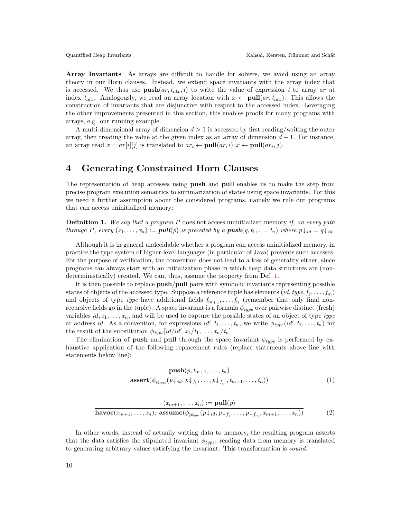Array Invariants As arrays are difficult to handle for solvers, we avoid using an array theory in our Horn clauses. Instead, we extend space invariants with the array index that is accessed. We thus use  $\text{push}(ar, t_{idx}, t)$  to write the value of expression t to array ar at index  $t_{idx}$ . Analogously, we read an array location with  $x \leftarrow \text{pull}(ar, t_{idx})$ . This allows the construction of invariants that are disjunctive with respect to the accessed index. Leveraging the other improvements presented in this section, this enables proofs for many programs with arrays, e.g. our running example.

A multi-dimensional array of dimension  $d > 1$  is accessed by first reading/writing the outer array, then treating the value at the given index as an array of dimension  $d-1$ . For instance, an array read  $x = ar[i][j]$  is translated to  $ar_i \leftarrow \text{pull}(ar, i); x \leftarrow \text{pull}(ar_i, j)$ .

## <span id="page-9-0"></span>4 Generating Constrained Horn Clauses

The representation of heap accesses using push and pull enables us to make the step from precise program execution semantics to summarization of states using space invariants. For this we need a further assumption about the considered programs, namely we rule out programs that can access uninitialized memory:

<span id="page-9-1"></span>**Definition 1.** We say that a program  $P$  does not access uninitialized memory if, on every path through P, every  $(x_1, \ldots, x_n) := \text{pull}(p)$  is preceded by a  $\text{push}(q, t_1, \ldots, t_n)$  where  $p \downarrow_{id} = q \downarrow_{id}$ .

Although it is in general undecidable whether a program can access uninitialized memory, in practice the type system of higher-level languages (in particular of Java) prevents such accesses. For the purpose of verification, the convention does not lead to a loss of generality either, since programs can always start with an initialization phase in which heap data structures are (nondeterministically) created. We can, thus, assume the property from Def. [1.](#page-9-1)

It is then possible to replace push/pull pairs with symbolic invariants representing possible states of objects of the accessed type. Suppose a reference tuple has elements  $(id, type, f_1, \ldots, f_m)$ and objects of type type have additional fields  $f_{m+1}, \ldots, f_n$  (remember that only final nonrecursive fields go in the tuple). A space invariant is a formula  $\phi_{type}$  over pairwise distinct (fresh) variables  $id, x_1, \ldots, x_n$ , and will be used to capture the possible states of an object of type type at address id. As a convention, for expressions  $id', t_1, \ldots, t_n$ , we write  $\phi_{type}(id', t_1, \ldots, t_n)$  for the result of the substitution  $\phi_{type}[id/id', x_1/t_1, \ldots, x_n/t_n].$ 

The elimination of **push** and **pull** through the space invariant  $\phi_{type}$  is performed by exhaustive application of the following replacement rules (replace statements above line with statements below line):

<span id="page-9-2"></span>
$$
\frac{\mathbf{push}(p, t_{m+1}, \dots, t_n)}{\mathbf{assert}(\phi_{p|_{\text{type}}}(p \downarrow_{id}, p \downarrow_{f_1}, \dots, p \downarrow_{f_m}, t_{m+1}, \dots, t_n))}
$$
(1)

<span id="page-9-3"></span>
$$
\frac{(x_{m+1},\ldots,x_n) := \text{pull}(p)}{\text{havoc}(x_{m+1},\ldots,x_n); \text{ assume}(\phi_{p|_{type}}(p\downarrow_{id}, p\downarrow_{f_1},\ldots,p\downarrow_{f_m},x_{m+1},\ldots,x_n))}
$$
(2)

In other words, instead of actually writing data to memory, the resulting program asserts that the data satisfies the stipulated invariant  $\phi_{type}$ ; reading data from memory is translated to generating arbitrary values satisfying the invariant. This transformation is sound: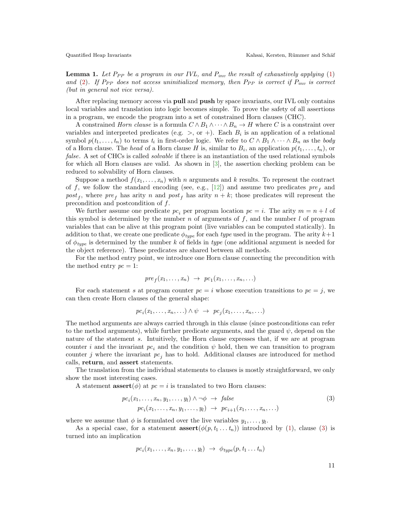**Lemma 1.** Let  $P_{PP}$  be a program in our IVL, and  $P_{inv}$  the result of exhaustively applying [\(1\)](#page-9-2) and [\(2\)](#page-9-3). If P<sub>PP</sub> does not access uninitialized memory, then P<sub>PP</sub> is correct if  $P_{inv}$  is correct (but in general not vice versa).

After replacing memory access via **pull** and **push** by space invariants, our IVL only contains local variables and translation into logic becomes simple. To prove the safety of all assertions in a program, we encode the program into a set of constrained Horn clauses (CHC).

A constrained *Horn clause* is a formula  $C \wedge B_1 \wedge \cdots \wedge B_n \rightarrow H$  where C is a constraint over variables and interpreted predicates (e.g.  $>$ , or +). Each  $B_i$  is an application of a relational symbol  $p(t_1, \ldots, t_n)$  to terms  $t_i$  in first-order logic. We refer to  $C \wedge B_1 \wedge \cdots \wedge B_n$  as the body of a Horn clause. The head of a Horn clause H is, similar to  $B_i$ , an application  $p(t_1, \ldots, t_n)$ , or false. A set of CHCs is called *solvable* if there is an instantiation of the used relational symbols for which all Horn clauses are valid. As shown in [\[3\]](#page-15-6), the assertion checking problem can be reduced to solvability of Horn clauses.

Suppose a method  $f(x_1, \ldots, x_n)$  with n arguments and k results. To represent the contract of f, we follow the standard encoding (see, e.g., [\[12\]](#page-15-7)) and assume two predicates  $pre<sub>f</sub>$  and post<sub>f</sub>, where  $pre<sub>f</sub>$  has arity n and post<sub>f</sub> has arity  $n + k$ ; those predicates will represent the precondition and postcondition of f.

We further assume one predicate  $pc_i$  per program location  $pc = i$ . The arity  $m = n + l$  of this symbol is determined by the number n of arguments of  $f$ , and the number  $l$  of program variables that can be alive at this program point (live variables can be computed statically). In addition to that, we create one predicate  $\phi_{type}$  for each type used in the program. The arity  $k+1$ of  $\phi_{type}$  is determined by the number k of fields in type (one additional argument is needed for the object reference). These predicates are shared between all methods.

For the method entry point, we introduce one Horn clause connecting the precondition with the method entry  $pc = 1$ :

$$
pre_f(x_1,\ldots,x_n) \rightarrow pc_1(x_1,\ldots,x_n,\ldots)
$$

For each statement s at program counter  $pc = i$  whose execution transitions to  $pc = j$ , we can then create Horn clauses of the general shape:

$$
pc_i(x_1,\ldots,x_n,\ldots)\wedge\psi\ \rightarrow\ pc_j(x_1,\ldots,x_n,\ldots)
$$

The method arguments are always carried through in this clause (since postconditions can refer to the method arguments), while further predicate arguments, and the guard  $\psi$ , depend on the nature of the statement s. Intuitively, the Horn clause expresses that, if we are at program counter i and the invariant  $pc_i$  and the condition  $\psi$  hold, then we can transition to program counter j where the invariant  $pc<sub>i</sub>$  has to hold. Additional clauses are introduced for method calls, return, and assert statements.

The translation from the individual statements to clauses is mostly straightforward, we only show the most interesting cases.

A statement **assert** $(\phi)$  at  $pc = i$  is translated to two Horn clauses:

$$
pc_i(x_1, \ldots, x_n, y_1, \ldots, y_l) \land \neg \phi \rightarrow false
$$
  
\n
$$
pc_i(x_1, \ldots, x_n, y_1, \ldots, y_l) \rightarrow pc_{i+1}(x_1, \ldots, x_n, \ldots)
$$
 (3)

where we assume that  $\phi$  is formulated over the live variables  $y_1, \ldots, y_l$ .

As a special case, for a statement  $\operatorname{assert}(\phi(p, t_1 \ldots t_n))$  introduced by [\(1\)](#page-9-2), clause [\(3\)](#page-10-0) is turned into an implication

$$
pc_i(x_1,\ldots,x_n,y_1,\ldots,y_l) \rightarrow \phi_{type}(p,t_1\ldots t_n)
$$

<span id="page-10-0"></span>11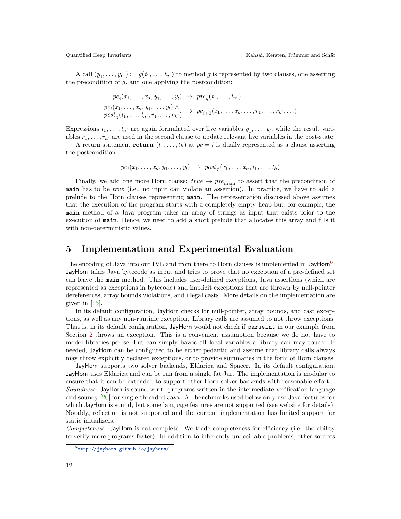A call  $(y_1, \ldots, y_{k'}) := g(t_1, \ldots, t_{n'})$  to method g is represented by two clauses, one asserting the precondition of  $g$ , and one applying the postcondition:

$$
pc_i(x_1, \ldots, x_n, y_1, \ldots, y_l) \rightarrow pre_g(t_1, \ldots, t_{n'})
$$
  
\n
$$
pc_i(x_1, \ldots, x_n, y_1, \ldots, y_l) \land \qquad \qquad pc_{i+1}(x_1, \ldots, x_k, \ldots, r_1, \ldots, r_{k'}, \ldots)
$$
  
\n
$$
post_g(t_1, \ldots, t_{n'}, r_1, \ldots, r_{k'}) \rightarrow pc_{i+1}(x_1, \ldots, x_k, \ldots, r_1, \ldots, r_{k'}, \ldots)
$$

Expressions  $t_1, \ldots, t_{n'}$  are again formulated over live variables  $y_1, \ldots, y_l$ , while the result variables  $r_1, \ldots, r_{k'}$  are used in the second clause to update relevant live variables in the post-state.

A return statement return  $(t_1, \ldots, t_k)$  at  $pc = i$  is dually represented as a clause asserting the postcondition:

$$
pc_i(x_1,\ldots,x_n,y_1,\ldots,y_l) \rightarrow post_f(x_1,\ldots,x_n,t_1,\ldots,t_k)
$$

Finally, we add one more Horn clause:  $true \rightarrow pre_{\text{main}}$  to assert that the precondition of main has to be true (i.e., no input can violate an assertion). In practice, we have to add a prelude to the Horn clauses representing main. The representation discussed above assumes that the execution of the program starts with a completely empty heap but, for example, the main method of a Java program takes an array of strings as input that exists prior to the execution of main. Hence, we need to add a short prelude that allocates this array and fills it with non-deterministic values.

### 5 Implementation and Experimental Evaluation

The encoding of Java into our IVL and from there to Horn clauses is implemented in JayHorn<sup>[6](#page-11-0)</sup>. JayHorn takes Java bytecode as input and tries to prove that no exception of a pre-defined set can leave the main method. This includes user-defined exceptions, Java assertions (which are represented as exceptions in bytecode) and implicit exceptions that are thrown by null-pointer dereferences, array bounds violations, and illegal casts. More details on the implementation are given in [\[15\]](#page-15-4).

In its default configuration, JayHorn checks for null-pointer, array bounds, and cast exceptions, as well as any non-runtime exception. Library calls are assumed to not throw exceptions. That is, in its default configuration, JayHorn would not check if parseInt in our example from Section [2](#page-1-1) throws an exception. This is a convenient assumption because we do not have to model libraries per se, but can simply havoc all local variables a library can may touch. If needed, JayHorn can be configured to be either pedantic and assume that library calls always may throw explicitly declared exceptions, or to provide summaries in the form of Horn clauses.

JayHorn supports two solver backends, Eldarica and Spacer. In its default configuration, JayHorn uses Eldarica and can be run from a single fat Jar. The implementation is modular to ensure that it can be extended to support other Horn solver backends with reasonable effort. Soundness. JayHorn is sound w.r.t. programs written in the intermediate verification language and soundy [\[20\]](#page-16-5) for single-threaded Java. All benchmarks used below only use Java features for which JayHorn is sound, but some language features are not supported (see website for details). Notably, reflection is not supported and the current implementation has limited support for static initializers.

Completeness. JayHorn is not complete. We trade completeness for efficiency (i.e. the ability to verify more programs faster). In addition to inherently undecidable problems, other sources

<span id="page-11-0"></span><sup>6</sup><http://jayhorn.github.io/jayhorn/>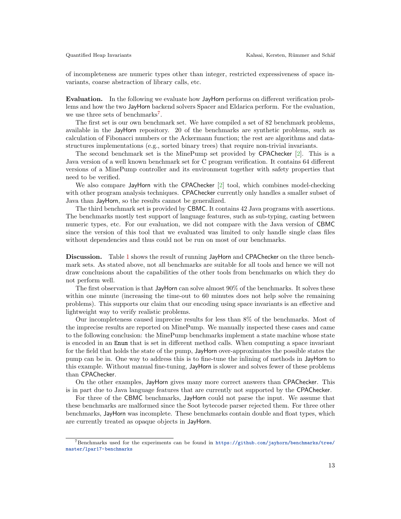of incompleteness are numeric types other than integer, restricted expressiveness of space invariants, coarse abstraction of library calls, etc.

Evaluation. In the following we evaluate how JayHorn performs on different verification problems and how the two JayHorn backend solvers Spacer and Eldarica perform. For the evaluation, we use three sets of benchmarks<sup>[7](#page-12-0)</sup>.

The first set is our own benchmark set. We have compiled a set of 82 benchmark problems, available in the JayHorn repository. 20 of the benchmarks are synthetic problems, such as calculation of Fibonacci numbers or the Ackermann function; the rest are algorithms and datastructures implementations (e.g., sorted binary trees) that require non-trivial invariants.

The second benchmark set is the MinePump set provided by CPAChecker [\[2\]](#page-15-8). This is a Java version of a well known benchmark set for C program verification. It contains 64 different versions of a MinePump controller and its environment together with safety properties that need to be verified.

We also compare JayHorn with the CPAChecker [\[2\]](#page-15-8) tool, which combines model-checking with other program analysis techniques. CPAChecker currently only handles a smaller subset of Java than JayHorn, so the results cannot be generalized.

The third benchmark set is provided by CBMC. It contains 42 Java programs with assertions. The benchmarks mostly test support of language features, such as sub-typing, casting between numeric types, etc. For our evaluation, we did not compare with the Java version of CBMC since the version of this tool that we evaluated was limited to only handle single class files without dependencies and thus could not be run on most of our benchmarks.

Discussion. Table [1](#page-13-0) shows the result of running JayHorn and CPAChecker on the three benchmark sets. As stated above, not all benchmarks are suitable for all tools and hence we will not draw conclusions about the capabilities of the other tools from benchmarks on which they do not perform well.

The first observation is that JayHorn can solve almost 90% of the benchmarks. It solves these within one minute (increasing the time-out to 60 minutes does not help solve the remaining problems). This supports our claim that our encoding using space invariants is an effective and lightweight way to verify realistic problems.

Our incompleteness caused imprecise results for less than 8% of the benchmarks. Most of the imprecise results are reported on MinePump. We manually inspected these cases and came to the following conclusion: the MinePump benchmarks implement a state machine whose state is encoded in an Enum that is set in different method calls. When computing a space invariant for the field that holds the state of the pump, JayHorn over-approximates the possible states the pump can be in. One way to address this is to fine-tune the inlining of methods in JayHorn to this example. Without manual fine-tuning, JayHorn is slower and solves fewer of these problems than CPAChecker.

On the other examples, JayHorn gives many more correct answers than CPAChecker. This is in part due to Java language features that are currently not supported by the CPAChecker.

For three of the CBMC benchmarks, JayHorn could not parse the input. We assume that these benchmarks are malformed since the Soot bytecode parser rejected them. For three other benchmarks, JayHorn was incomplete. These benchmarks contain double and float types, which are currently treated as opaque objects in JayHorn.

<span id="page-12-0"></span><sup>7</sup>Benchmarks used for the experiments can be found in [https://github.com/jayhorn/benchmarks/tree/](https://github.com/jayhorn/benchmarks/tree/master/lpar17-benchmarks) [master/lpar17-benchmarks](https://github.com/jayhorn/benchmarks/tree/master/lpar17-benchmarks)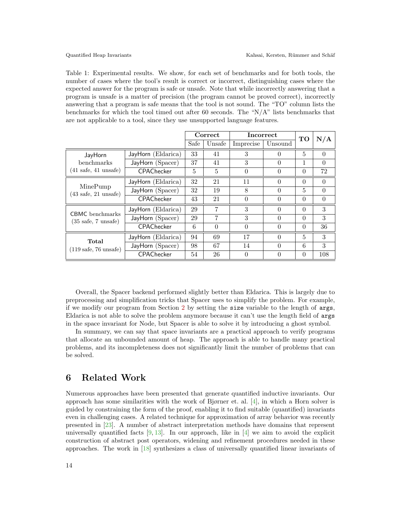<span id="page-13-0"></span>Table 1: Experimental results. We show, for each set of benchmarks and for both tools, the number of cases where the tool's result is correct or incorrect, distinguishing cases where the expected answer for the program is safe or unsafe. Note that while incorrectly answering that a program is unsafe is a matter of precision (the program cannot be proved correct), incorrectly answering that a program is safe means that the tool is not sound. The "TO" column lists the benchmarks for which the tool timed out after 60 seconds. The " $N/A$ " lists benchmarks that are not applicable to a tool, since they use unsupported language features.

|                                                                 |                    | Correct |          | <b>Incorrect</b> |          | TO       |          |
|-----------------------------------------------------------------|--------------------|---------|----------|------------------|----------|----------|----------|
|                                                                 |                    | Safe    | Unsafe   | Imprecise        | Unsound  |          | N/A      |
| JayHorn<br>benchmarks<br>$(41 \text{ safe}, 41 \text{ unsafe})$ | JayHorn (Eldarica) | 33      | 41       | 3                | $\Omega$ | 5        | $\Omega$ |
|                                                                 | JayHorn (Spacer)   | 37      | 41       | 3                | $\Omega$ | 1        | $\Omega$ |
|                                                                 | CPAChecker         | 5       | 5        | $\Omega$         | $\Omega$ | $\theta$ | 72       |
| MinePump<br>$(43 \text{ safe}, 21 \text{ unsafe})$              | JayHorn (Eldarica) | 32      | 21       | 11               | $\Omega$ | $\theta$ | $\Omega$ |
|                                                                 | JayHorn (Spacer)   | 32      | 19       | 8                | $\Omega$ | 5        | $\Omega$ |
|                                                                 | CPAChecker         | 43      | 21       | $\Omega$         | $\Omega$ | $\theta$ | $\Omega$ |
| <b>CBMC</b> benchmarks<br>$(35 \text{ safe}, 7 \text{ unsafe})$ | JayHorn (Eldarica) | 29      | 7        | 3                | $\Omega$ | $\Omega$ | 3        |
|                                                                 | JayHorn (Spacer)   | 29      | 7        | 3                | $\Omega$ | $\Omega$ | 3        |
|                                                                 | CPAChecker         | 6       | $\Omega$ | $\Omega$         | $\Omega$ | $\theta$ | 36       |
| Total<br>$(119 \text{ safe}, 76 \text{ unsafe})$                | JayHorn (Eldarica) | 94      | 69       | 17               | $\Omega$ | 5        | 3        |
|                                                                 | JayHorn (Spacer)   | 98      | 67       | 14               | $\Omega$ | 6        | 3        |
|                                                                 | CPAChecker         | 54      | 26       | $\theta$         | $\Omega$ | $\theta$ | 108      |

Overall, the Spacer backend performed slightly better than Eldarica. This is largely due to preprocessing and simplification tricks that Spacer uses to simplify the problem. For example, if we modify our program from Section [2](#page-1-1) by setting the size variable to the length of args, Eldarica is not able to solve the problem anymore because it can't use the length field of args in the space invariant for Node, but Spacer is able to solve it by introducing a ghost symbol.

In summary, we can say that space invariants are a practical approach to verify programs that allocate an unbounded amount of heap. The approach is able to handle many practical problems, and its incompleteness does not significantly limit the number of problems that can be solved.

## 6 Related Work

Numerous approaches have been presented that generate quantified inductive invariants. Our approach has some similarities with the work of Bjørner et. al. [\[4\]](#page-15-9), in which a Horn solver is guided by constraining the form of the proof, enabling it to find suitable (quantified) invariants even in challenging cases. A related technique for approximation of array behavior was recently presented in [\[23\]](#page-16-6). A number of abstract interpretation methods have domains that represent universally quantified facts  $[9, 13]$  $[9, 13]$  $[9, 13]$ . In our approach, like in  $[4]$  we aim to avoid the explicit construction of abstract post operators, widening and refinement procedures needed in these approaches. The work in [\[18\]](#page-15-12) synthesizes a class of universally quantified linear invariants of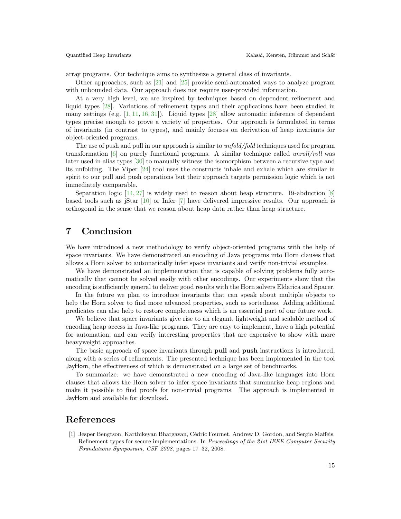array programs. Our technique aims to synthesize a general class of invariants.

Other approaches, such as [\[21\]](#page-16-7) and [\[25\]](#page-16-8) provide semi-automated ways to analyze program with unbounded data. Our approach does not require user-provided information.

At a very high level, we are inspired by techniques based on dependent refinement and liquid types [\[28\]](#page-16-1). Variations of refinement types and their applications have been studied in many settings (e.g.  $[1, 11, 16, 31]$  $[1, 11, 16, 31]$  $[1, 11, 16, 31]$  $[1, 11, 16, 31]$  $[1, 11, 16, 31]$  $[1, 11, 16, 31]$  $[1, 11, 16, 31]$ ). Liquid types  $[28]$  allow automatic inference of dependent types precise enough to prove a variety of properties. Our approach is formulated in terms of invariants (in contrast to types), and mainly focuses on derivation of heap invariants for object-oriented programs.

The use of push and pull in our approach is similar to *unfold/fold* techniques used for program transformation  $[6]$  on purely functional programs. A similar technique called unroll/roll was later used in alias types [\[30\]](#page-16-9) to manually witness the isomorphism between a recursive type and its unfolding. The Viper [\[24\]](#page-16-10) tool uses the constructs inhale and exhale which are similar in spirit to our pull and push operations but their approach targets permission logic which is not immediately comparable.

Separation logic [\[14,](#page-15-14) [27\]](#page-16-11) is widely used to reason about heap structure. Bi-abduction [\[8\]](#page-15-15) based tools such as jStar [\[10\]](#page-15-16) or Infer [\[7\]](#page-15-17) have delivered impressive results. Our approach is orthogonal in the sense that we reason about heap data rather than heap structure.

## 7 Conclusion

We have introduced a new methodology to verify object-oriented programs with the help of space invariants. We have demonstrated an encoding of Java programs into Horn clauses that allows a Horn solver to automatically infer space invariants and verify non-trivial examples.

We have demonstrated an implementation that is capable of solving problems fully automatically that cannot be solved easily with other encodings. Our experiments show that the encoding is sufficiently general to deliver good results with the Horn solvers Eldarica and Spacer.

In the future we plan to introduce invariants that can speak about multiple objects to help the Horn solver to find more advanced properties, such as sortedness. Adding additional predicates can also help to restore completeness which is an essential part of our future work.

We believe that space invariants give rise to an elegant, lightweight and scalable method of encoding heap access in Java-like programs. They are easy to implement, have a high potential for automation, and can verify interesting properties that are expensive to show with more heavyweight approaches.

The basic approach of space invariants through pull and push instructions is introduced, along with a series of refinements. The presented technique has been implemented in the tool JayHorn, the effectiveness of which is demonstrated on a large set of benchmarks.

To summarize: we have demonstrated a new encoding of Java-like languages into Horn clauses that allows the Horn solver to infer space invariants that summarize heap regions and make it possible to find proofs for non-trivial programs. The approach is implemented in JayHorn and available for download.

### References

<span id="page-14-0"></span>[1] Jesper Bengtson, Karthikeyan Bhargavan, Cédric Fournet, Andrew D. Gordon, and Sergio Maffeis. Refinement types for secure implementations. In Proceedings of the 21st IEEE Computer Security Foundations Symposium, CSF 2008, pages 17–32, 2008.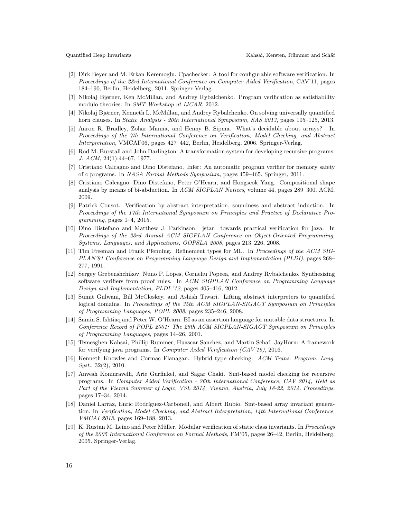- <span id="page-15-8"></span>[2] Dirk Beyer and M. Erkan Keremoglu. Cpachecker: A tool for configurable software verification. In Proceedings of the 23rd International Conference on Computer Aided Verification, CAV'11, pages 184–190, Berlin, Heidelberg, 2011. Springer-Verlag.
- <span id="page-15-6"></span>[3] Nikolaj Bjørner, Ken McMillan, and Andrey Rybalchenko. Program verification as satisfiability modulo theories. In SMT Workshop at IJCAR, 2012.
- <span id="page-15-9"></span>[4] Nikolaj Bjørner, Kenneth L. McMillan, and Andrey Rybalchenko. On solving universally quantified horn clauses. In *Static Analysis - 20th International Symposium, SAS 2013*, pages 105–125, 2013.
- <span id="page-15-0"></span>[5] Aaron R. Bradley, Zohar Manna, and Henny B. Sipma. What's decidable about arrays? In Proceedings of the 7th International Conference on Verification, Model Checking, and Abstract Interpretation, VMCAI'06, pages 427–442, Berlin, Heidelberg, 2006. Springer-Verlag.
- <span id="page-15-13"></span>[6] Rod M. Burstall and John Darlington. A transformation system for developing recursive programs. J. ACM, 24(1):44–67, 1977.
- <span id="page-15-17"></span>[7] Cristiano Calcagno and Dino Distefano. Infer: An automatic program verifier for memory safety of c programs. In NASA Formal Methods Symposium, pages 459–465. Springer, 2011.
- <span id="page-15-15"></span>[8] Cristiano Calcagno, Dino Distefano, Peter O'Hearn, and Hongseok Yang. Compositional shape analysis by means of bi-abduction. In ACM SIGPLAN Notices, volume 44, pages 289-300. ACM, 2009.
- <span id="page-15-10"></span>[9] Patrick Cousot. Verification by abstract interpretation, soundness and abstract induction. In Proceedings of the 17th International Symposium on Principles and Practice of Declarative Pro $gramming$ , pages  $1-4$ , 2015.
- <span id="page-15-16"></span>[10] Dino Distefano and Matthew J. Parkinson. jstar: towards practical verification for java. In Proceedings of the 23rd Annual ACM SIGPLAN Conference on Object-Oriented Programming, Systems, Languages, and Applications, OOPSLA 2008, pages 213–226, 2008.
- <span id="page-15-2"></span>[11] Tim Freeman and Frank Pfenning. Refinement types for ML. In Proceedings of the ACM SIG-PLAN'91 Conference on Programming Language Design and Implementation (PLDI), pages 268– 277, 1991.
- <span id="page-15-7"></span>[12] Sergey Grebenshchikov, Nuno P. Lopes, Corneliu Popeea, and Andrey Rybalchenko. Synthesizing software verifiers from proof rules. In ACM SIGPLAN Conference on Programming Language Design and Implementation, PLDI '12, pages 405–416, 2012.
- <span id="page-15-11"></span>[13] Sumit Gulwani, Bill McCloskey, and Ashish Tiwari. Lifting abstract interpreters to quantified logical domains. In Proceedings of the 35th ACM SIGPLAN-SIGACT Symposium on Principles of Programming Languages, POPL 2008, pages 235–246, 2008.
- <span id="page-15-14"></span>[14] Samin S. Ishtiaq and Peter W. O'Hearn. BI as an assertion language for mutable data structures. In Conference Record of POPL 2001: The 28th ACM SIGPLAN-SIGACT Symposium on Principles of Programming Languages, pages 14–26, 2001.
- <span id="page-15-4"></span>[15] Temesghen Kahsai, Phillip Rummer, Huascar Sanchez, and Martin Schaf. JayHorn: A framework for verifying java programs. In Computer Aided Verification (CAV'16), 2016.
- <span id="page-15-3"></span>[16] Kenneth Knowles and Cormac Flanagan. Hybrid type checking. ACM Trans. Program. Lang.  $Syst., 32(2), 2010.$
- <span id="page-15-5"></span>[17] Anvesh Komuravelli, Arie Gurfinkel, and Sagar Chaki. Smt-based model checking for recursive programs. In Computer Aided Verification - 26th International Conference, CAV 2014, Held as Part of the Vienna Summer of Logic, VSL 2014, Vienna, Austria, July 18-22, 2014. Proceedings, pages 17–34, 2014.
- <span id="page-15-12"></span>[18] Daniel Larraz, Enric Rodríguez-Carbonell, and Albert Rubio. Smt-based array invariant generation. In Verification, Model Checking, and Abstract Interpretation, 14th International Conference, VMCAI 2013, pages 169–188, 2013.
- <span id="page-15-1"></span>[19] K. Rustan M. Leino and Peter Müller. Modular verification of static class invariants. In *Proceedings* of the 2005 International Conference on Formal Methods, FM'05, pages 26–42, Berlin, Heidelberg, 2005. Springer-Verlag.